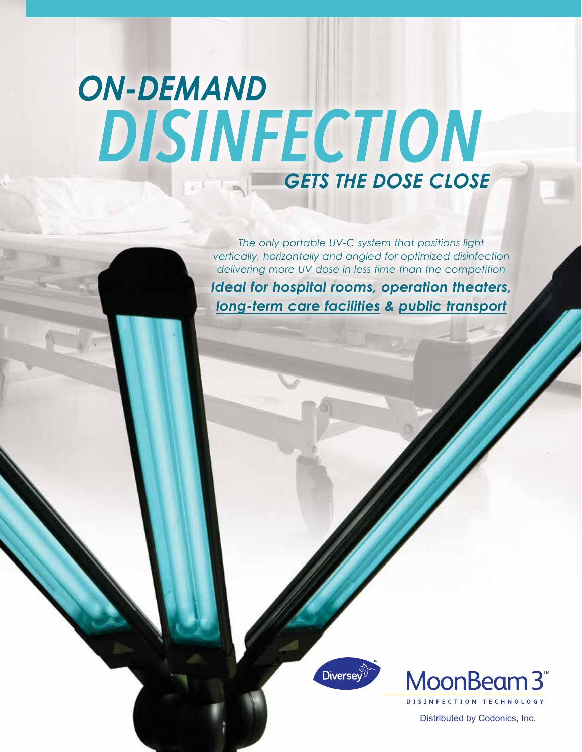# **ON-DEMAND** DISINFECTION **GETS THE DOSE CLOSE**

*The only portable UV-C system that positions light vertically, horizontally and angled for optimized disinfection delivering more UV dose in less time than the competition Ideal for hospital rooms, operation theaters, long-term care facilities & public transport*





Distributed by Codonics, Inc.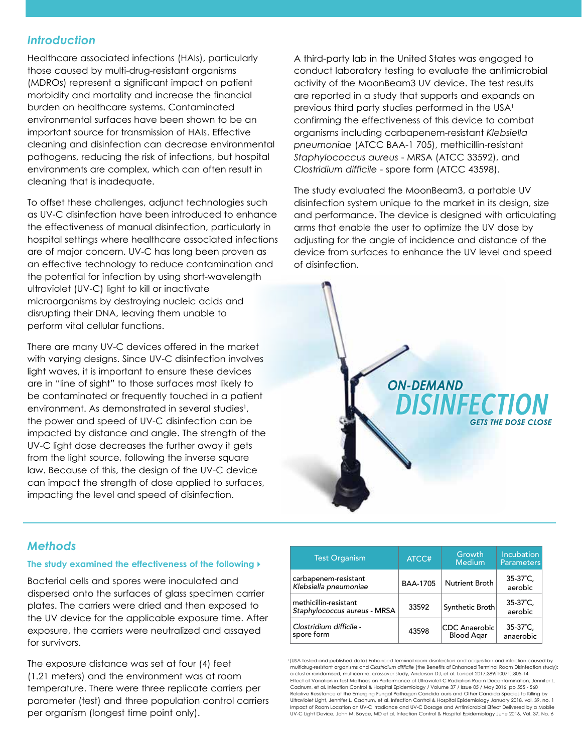### *Introduction*

Healthcare associated infections (HAIs), particularly those caused by multi-drug-resistant organisms (MDROs) represent a significant impact on patient morbidity and mortality and increase the financial burden on healthcare systems. Contaminated environmental surfaces have been shown to be an important source for transmission of HAIs. Effective cleaning and disinfection can decrease environmental pathogens, reducing the risk of infections, but hospital environments are complex, which can often result in cleaning that is inadequate.

To offset these challenges, adjunct technologies such as UV-C disinfection have been introduced to enhance the effectiveness of manual disinfection, particularly in hospital settings where healthcare associated infections are of major concern. UV-C has long been proven as an effective technology to reduce contamination and the potential for infection by using short-wavelength ultraviolet (UV-C) light to kill or inactivate microorganisms by destroying nucleic acids and disrupting their DNA, leaving them unable to perform vital cellular functions.

There are many UV-C devices offered in the market with varying designs. Since UV-C disinfection involves light waves, it is important to ensure these devices are in "line of sight" to those surfaces most likely to be contaminated or frequently touched in a patient environment. As demonstrated in several studies<sup>1</sup>, the power and speed of UV-C disinfection can be impacted by distance and angle. The strength of the UV-C light dose decreases the further away it gets from the light source, following the inverse square law. Because of this, the design of the UV-C device can impact the strength of dose applied to surfaces, impacting the level and speed of disinfection.

A third-party lab in the United States was engaged to conduct laboratory testing to evaluate the antimicrobial activity of the MoonBeam3 UV device. The test results are reported in a study that supports and expands on previous third party studies performed in the USA<sup>1</sup> confirming the effectiveness of this device to combat organisms including carbapenem-resistant *Klebsiella pneumoniae* (ATCC BAA-1 705), methicillin-resistant *Staphylococcus aureus* - MRSA (ATCC 33592), and *Clostridium difficile* - spore form (ATCC 43598).

The study evaluated the MoonBeam3, a portable UV disinfection system unique to the market in its design, size and performance. The device is designed with articulating arms that enable the user to optimize the UV dose by adjusting for the angle of incidence and distance of the device from surfaces to enhance the UV level and speed of disinfection.



# *Methods*

#### **The study examined the effectiveness of the following**

Bacterial cells and spores were inoculated and dispersed onto the surfaces of glass specimen carrier plates. The carriers were dried and then exposed to the UV device for the applicable exposure time. After exposure, the carriers were neutralized and assayed for survivors.

The exposure distance was set at four (4) feet (1.21 meters) and the environment was at room temperature. There were three replicate carriers per parameter (test) and three population control carriers per organism (longest time point only).

| <b>Test Organism</b>                                  | ATCC#           | Growth<br>Medium                          | <b>Incubation</b><br><b>Parameters</b> |
|-------------------------------------------------------|-----------------|-------------------------------------------|----------------------------------------|
| carbapenem-resistant<br>Klebsiella pneumoniae         | <b>BAA-1705</b> | Nutrient Broth                            | $35-37^{\circ}C$ ,<br>aerobic          |
| methicillin-resistant<br>Staphylococcus aureus - MRSA | 33592           | Synthetic Broth                           | $35-37^{\circ}C$ ,<br>aerobic          |
| Clostridium difficile -<br>spore form                 | 43598           | <b>CDC</b> Anaerobic<br><b>Blood Agar</b> | $35-37^{\circ}C$ ,<br>anaerobic        |

1 (USA tested and published data) Enhanced terminal room disinfection and acquisition and infection caused by multidrug-resistant organisms and *Clostridium difficile* (the Benefits of Enhanced Terminal Room Disinfection study): a cluster-randomised, multicentre, crossover study, Anderson DJ, et al. Lancet 2017;389(10071):805-14 Effect of Variation in Test Methods on Performance of Ultraviolet-C Radiation Room Decontamination, Jennifer L. Cadnum, et al. Infection Control & Hospital Epidemiology / Volume 37 / Issue 05 / May 2016, pp 555 - 560 Relative Resistance of the Emerging Fungal Pathogen Candida auris and Other Candida Species to Killing by Ultraviolet Light, Jennifer L. Cadnum, et al. Infection Control & Hospital Epidemiology January 2018, vol. 39, no. 1 Impact of Room Location on UV-C Irradiance and UV-C Dosage and Antimicrobial Effect Delivered by a Mobile UV-C Light Device, John M. Boyce, MD et al. Infection Control & Hospital Epidemiology June 2016, Vol. 37, No. 6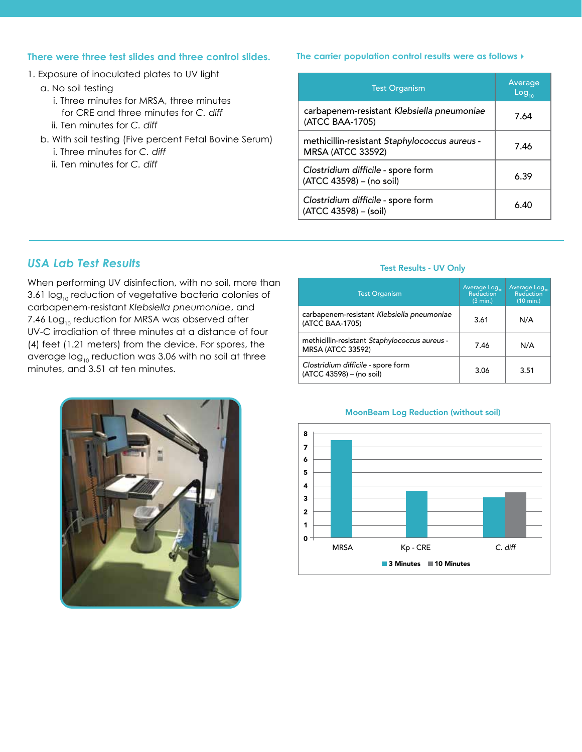#### **There were three test slides and three control slides.**

- 1. Exposure of inoculated plates to UV light
	- a. No soil testing
		- i. Three minutes for MRSA, three minutes for CRE and three minutes for *C. diff*
		- ii. Ten minutes for *C. diff*
	- b. With soil testing (Five percent Fetal Bovine Serum) i. Three minutes for *C. diff*
		- ii. Ten minutes for *C. diff*

#### *The carrier population control results were as follows:*

| <b>Test Organism</b>                                                      | Average<br>Log <sub>10</sub> |  |
|---------------------------------------------------------------------------|------------------------------|--|
| carbapenem-resistant Klebsiella pneumoniae<br>(ATCC BAA-1705)             | 7.64                         |  |
| methicillin-resistant Staphylococcus aureus -<br><b>MRSA (ATCC 33592)</b> | 7.46                         |  |
| Clostridium difficile - spore form<br>(ATCC 43598) - (no soil)            | 6.39                         |  |
| Clostridium difficile - spore form<br>(ATCC 43598) - (soil)               | 6.40                         |  |

## *USA Lab Test Results*

When performing UV disinfection, with no soil, more than 3.61  $log_{10}$  reduction of vegetative bacteria colonies of carbapenem-resistant *Klebsiella pneumoniae*, and 7.46  $Log_{10}$  reduction for MRSA was observed after UV-C irradiation of three minutes at a distance of four (4) feet (1.21 meters) from the device. For spores, the average  $log_{10}$  reduction was 3.06 with no soil at three minutes, and 3.51 at ten minutes.

#### Test Results - UV Only

| <b>Test Organism</b>                                                      | Average Log <sub>10</sub><br>Reduction<br>(3 min.) | Average Log <sub>10</sub><br>Reduction<br>$(10 \text{ min.})$ |
|---------------------------------------------------------------------------|----------------------------------------------------|---------------------------------------------------------------|
| carbapenem-resistant Klebsiella pneumoniae<br>(ATCC BAA-1705)             | 3.61                                               | N/A                                                           |
| methicillin-resistant Staphylococcus aureus -<br><b>MRSA (ATCC 33592)</b> | 7.46                                               | N/A                                                           |
| Clostridium difficile - spore form<br>(ATCC 43598) - (no soil)            | 3.06                                               | 3.51                                                          |



#### MoonBeam Log Reduction (without soil)

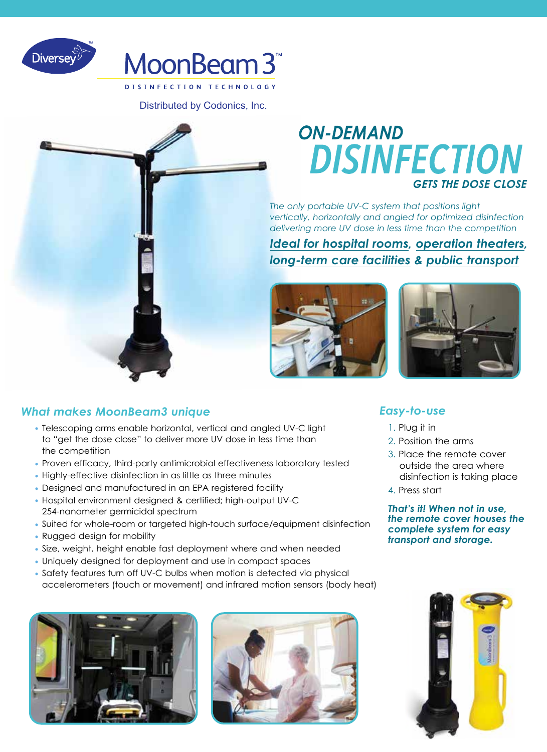



Distributed by Codonics, Inc.



# **ON-DEMAND DISINFECTION GETS THE DOSE CLOSE**

*The only portable UV-C system that positions light vertically, horizontally and angled for optimized disinfection delivering more UV dose in less time than the competition*

*Ideal for hospital rooms, operation theaters, long-term care facilities & public transport*





# *What makes MoonBeam3 unique*

- Telescoping arms enable horizontal, vertical and angled UV-C light to "get the dose close" to deliver more UV dose in less time than the competition
- Proven efficacy, third-party antimicrobial effectiveness laboratory tested
- Highly-effective disinfection in as little as three minutes
- Designed and manufactured in an EPA registered facility
- Hospital environment designed & certified; high-output UV-C 254-nanometer germicidal spectrum
- Suited for whole-room or targeted high-touch surface/equipment disinfection
- Rugged design for mobility
- Size, weight, height enable fast deployment where and when needed
- Uniquely designed for deployment and use in compact spaces
- Safety features turn off UV-C bulbs when motion is detected via physical accelerometers (touch or movement) and infrared motion sensors (body heat)





# *Easy-to-use*

- 1. Plug it in
- 2. Position the arms
- 3. Place the remote cover outside the area where disinfection is taking place
- 4. Press start

*That's it! When not in use, the remote cover houses the complete system for easy transport and storage.*

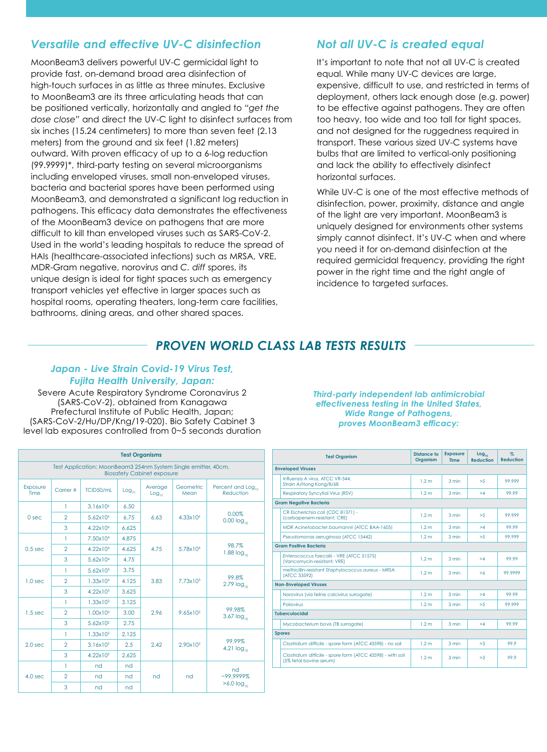# *Versatile and effective UV-C disinfection*

MoonBeam3 delivers powerful UV-C germicidal light to provide fast, on-demand broad area disinfection of high-touch surfaces in as little as three minutes. Exclusive to MoonBeam3 are its three articulating heads that can be positioned vertically, horizontally and angled to *"get the dose close"* and direct the UV-C light to disinfect surfaces from six inches (15.24 centimeters) to more than seven feet (2.13 meters) from the ground and six feet (1.82 meters) outward. With proven efficacy of up to a 6-log reduction (99.9999)\*, third-party testing on several microorganisms including enveloped viruses, small non-enveloped viruses, bacteria and bacterial spores have been performed using MoonBeam3, and demonstrated a significant log reduction in pathogens. This efficacy data demonstrates the effectiveness of the MoonBeam3 device on pathogens that are more difficult to kill than enveloped viruses such as SARS-CoV-2. Used in the world's leading hospitals to reduce the spread of HAIs (healthcare-associated infections) such as MRSA, VRE, MDR-Gram negative, norovirus and *C. diff* spores, its unique design is ideal for tight spaces such as emergency transport vehicles yet effective in larger spaces such as hospital rooms, operating theaters, long-term care facilities, bathrooms, dining areas, and other shared spaces.

# *Not all UV-C is created equal*

It's important to note that not all UV-C is created equal. While many UV-C devices are large, expensive, difficult to use, and restricted in terms of deployment, others lack enough dose (e.g. power) to be effective against pathogens. They are often too heavy, too wide and too tall for tight spaces, and not designed for the ruggedness required in transport. These various sized UV-C systems have bulbs that are limited to vertical-only positioning and lack the ability to effectively disinfect horizontal surfaces.

While UV-C is one of the most effective methods of disinfection, power, proximity, distance and angle of the light are very important. MoonBeam3 is uniquely designed for environments other systems simply cannot disinfect. It's UV-C when and where you need it for on-demand disinfection at the required germicidal frequency, providing the right power in the right time and the right angle of incidence to targeted surfaces.

# *PROVEN WORLD CLASS LAB TESTS RESULTS*

#### *Japan - Live Strain Covid-19 Virus Test, Fujita Health University, Japan:*

Severe Acute Respiratory Syndrome Coronavirus 2 (SARS-CoV-2), obtained from Kanagawa Prefectural Institute of Public Health, Japan; (SARS-CoV-2/Hu/DP/Kng/19-020). Bio Safety Cabinet 3 level lab exposures controlled from 0~5 seconds duration

| <b>Test Organisms</b>                                                                               |                |                      |                   |                              |                      |                                    |                          |
|-----------------------------------------------------------------------------------------------------|----------------|----------------------|-------------------|------------------------------|----------------------|------------------------------------|--------------------------|
| Test Application: MoonBeam3 254nm System Single emitter, 40cm.<br><b>Biosafety Cabinet exposure</b> |                |                      |                   |                              |                      |                                    |                          |
| Exposure<br>Time                                                                                    | Carrier #      | TCID50/mL            | Log <sub>10</sub> | Average<br>Log <sub>10</sub> | Geometric.<br>Mean   | Percent and Log<br>Reduction       |                          |
|                                                                                                     | 1              | 3.16x10 <sup>6</sup> | 6.50              |                              | $4.33 \times 10^{6}$ | 0.00%<br>$0.00$ $log_{10}$         |                          |
| 0 sec                                                                                               | $\mathfrak{D}$ | 5.62×10 <sup>6</sup> | 6.75              | 6.63                         |                      |                                    |                          |
|                                                                                                     | 3              | 4.22x10 <sup>6</sup> | 6.625             |                              |                      |                                    |                          |
| $0.5$ sec.                                                                                          | 1              | 7.50x104             | 4.875             | 4.75                         | 5.78x104             | 98.7%<br>$1.88 \log_{10}$          |                          |
|                                                                                                     | $\mathfrak{D}$ | 4.22x104             | 4.625             |                              |                      |                                    |                          |
|                                                                                                     | 3              | 5.62×10 <sup>4</sup> | 4.75              |                              |                      |                                    |                          |
| 1.0 <sub>sec</sub>                                                                                  | 1              | $5.62 \times 10^{3}$ | 3.75              | 3.83                         | $7.73 \times 10^3$   | 99.8%<br>$2.79$ $log_{10}$         |                          |
|                                                                                                     | $\mathfrak{D}$ | $1.33 \times 10^{4}$ | 4.125             |                              |                      |                                    |                          |
|                                                                                                     | 3              | $4.22 \times 10^{3}$ | 3.625             |                              |                      |                                    |                          |
| 1.5 <sub>sec</sub>                                                                                  | 1              | $1.33 \times 10^{3}$ | 3.125             | 2.96                         | $9.65 \times 10^{2}$ |                                    |                          |
|                                                                                                     | $\mathfrak{D}$ | $1.00 \times 10^{3}$ | 3.00              |                              |                      | 99.98%<br>$3.67$ log <sub>10</sub> |                          |
|                                                                                                     | 3              | 5.62×10 <sup>2</sup> | 2.75              |                              |                      |                                    |                          |
| 2.0 <sub>sec</sub>                                                                                  | 1              | $1.33 \times 10^{2}$ | 2.125             | 2.42                         | 2.90x10 <sup>2</sup> | 99.99%<br>4.21 $log_{10}$          |                          |
|                                                                                                     | $\overline{2}$ | $3.16 \times 10^{2}$ | 2.5               |                              |                      |                                    |                          |
|                                                                                                     | 3              | $4.22 \times 10^{2}$ | 2.625             |                              |                      |                                    |                          |
| $4.0$ sec.                                                                                          | 1              | nd                   | nd                |                              | nd                   | nd<br>$-99.9999%$                  |                          |
|                                                                                                     | $\overline{2}$ | nd                   | nd                | nd                           |                      |                                    |                          |
|                                                                                                     | 3              | nd                   | nd                |                              |                      |                                    | $>6.0$ log <sub>10</sub> |

*Third-party independent lab antimicrobial effectiveness testing in the United States, Wide Range of Pathogens, proves MoonBeam3 efficacy:*

|               | <b>Test Organism</b>                                                                   | <b>Distance to</b><br><b>Organism</b> | <b>Exposure</b><br><b>Time</b> | $Log_{10}$<br><b>Reduction</b> | $\%$<br><b>Reduction</b> |  |  |
|---------------|----------------------------------------------------------------------------------------|---------------------------------------|--------------------------------|--------------------------------|--------------------------|--|--|
|               | <b>Enveloped Viruses</b>                                                               |                                       |                                |                                |                          |  |  |
|               | Influenza A virus, ATCC VR-544.<br>Strain A/Hong Kong/8/68                             | 1.2 <sub>m</sub>                      | 3 min                          | >5                             | 99.999                   |  |  |
|               | <b>Respiratory Syncytial Virus (RSV)</b>                                               | 1.2 <sub>m</sub>                      | 3 min                          | >4                             | 99.99                    |  |  |
|               | <b>Gram Negative Bacteria</b>                                                          |                                       |                                |                                |                          |  |  |
|               | CR Escherichia coli (CDC 81371) -<br>(carbapenem-resistant, CRE)                       | 1.2 <sub>m</sub>                      | 3 min                          | > 5                            | 99.999                   |  |  |
|               | MDR Acinetobacter baumannii (ATCC BAA-1605)                                            | 1.2 <sub>m</sub>                      | 3 min                          | >4                             | 99.99                    |  |  |
|               | Pseudomonas aeruainosa (ATCC 15442)                                                    | 1.2 <sub>m</sub>                      | 3 min                          | >5                             | 99.999                   |  |  |
|               | <b>Gram Positive Bacteria</b>                                                          |                                       |                                |                                |                          |  |  |
|               | Enterococcus faecalis - VRE (ATCC 51575)<br>(Vancomvcin-resistant: VRE)                | 1.2 <sub>m</sub>                      | 3 min                          | >4                             | 99.99                    |  |  |
|               | methicillin-resistant Staphylococcus aureus - MRSA<br>(ATCC 33592)                     | 1.2 <sub>m</sub>                      | 3 min                          | >6                             | 99.9999                  |  |  |
|               | <b>Non-Enveloped Viruses</b>                                                           |                                       |                                |                                |                          |  |  |
|               | Norovirus (via feline calcivirus surrogate)                                            | 1.2 <sub>m</sub>                      | 3 min                          | >4                             | 99.99                    |  |  |
|               | Poliovirus                                                                             | 1.2 <sub>m</sub>                      | 3 min                          | >5                             | 99.999                   |  |  |
|               | <b>Tuberculocidal</b>                                                                  |                                       |                                |                                |                          |  |  |
|               | Mycobacterium bovis (TB surrogate)                                                     | 1.2 <sub>m</sub>                      | 3 min                          | >4                             | 99.99                    |  |  |
| <b>Spores</b> |                                                                                        |                                       |                                |                                |                          |  |  |
|               | Clostridium difficile - spore form (ATCC 43598) - no soil                              | 1.2 <sub>m</sub>                      | 3 min                          | >3                             | 99.9                     |  |  |
|               | Clostridium difficile - spore form (ATCC 43598) - with soil<br>(5% fetal bovine serum) | 1.2 <sub>m</sub>                      | 3 min                          | >3                             | 99.9                     |  |  |